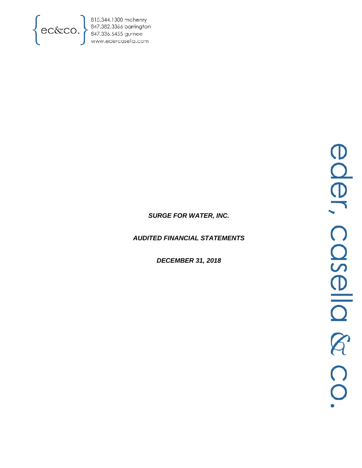

# *SURGE FOR WATER, INC.*

*AUDITED FINANCIAL STATEMENTS*

*DECEMBER 31, 2018*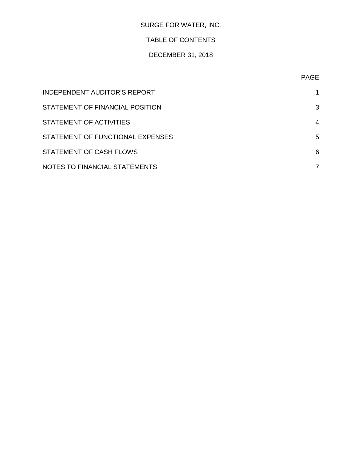# SURGE FOR WATER, INC.

# TABLE OF CONTENTS

# DECEMBER 31, 2018

| INDEPENDENT AUDITOR'S REPORT     |   |
|----------------------------------|---|
| STATEMENT OF FINANCIAL POSITION  | 3 |
| STATEMENT OF ACTIVITIES          | 4 |
| STATEMENT OF FUNCTIONAL EXPENSES | 5 |
| STATEMENT OF CASH FLOWS          | 6 |
| NOTES TO FINANCIAL STATEMENTS    |   |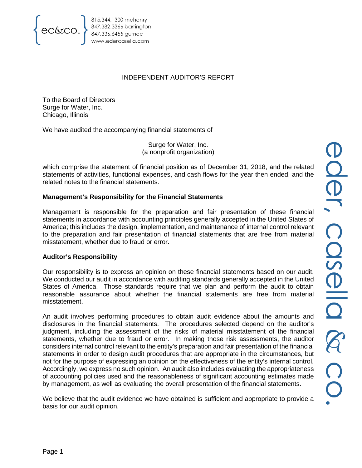

CC&CO. 847.382.3366 barrington<br>B47.382.3366 barrington<br>Www.edercasella.com

## INDEPENDENT AUDITOR'S REPORT

To the Board of Directors Surge for Water, Inc. Chicago, Illinois

We have audited the accompanying financial statements of

Surge for Water, Inc. (a nonprofit organization)

which comprise the statement of financial position as of December 31, 2018, and the related statements of activities, functional expenses, and cash flows for the year then ended, and the related notes to the financial statements.

## **Management's Responsibility for the Financial Statements**

Management is responsible for the preparation and fair presentation of these financial statements in accordance with accounting principles generally accepted in the United States of America; this includes the design, implementation, and maintenance of internal control relevant to the preparation and fair presentation of financial statements that are free from material misstatement, whether due to fraud or error.

#### **Auditor's Responsibility**

Our responsibility is to express an opinion on these financial statements based on our audit. We conducted our audit in accordance with auditing standards generally accepted in the United States of America. Those standards require that we plan and perform the audit to obtain reasonable assurance about whether the financial statements are free from material misstatement.

An audit involves performing procedures to obtain audit evidence about the amounts and disclosures in the financial statements. The procedures selected depend on the auditor's judgment, including the assessment of the risks of material misstatement of the financial statements, whether due to fraud or error. In making those risk assessments, the auditor considers internal control relevant to the entity's preparation and fair presentation of the financial statements in order to design audit procedures that are appropriate in the circumstances, but not for the purpose of expressing an opinion on the effectiveness of the entity's internal control. Accordingly, we express no such opinion. An audit also includes evaluating the appropriateness of accounting policies used and the reasonableness of significant accounting estimates made by management, as well as evaluating the overall presentation of the financial statements.

We believe that the audit evidence we have obtained is sufficient and appropriate to provide a basis for our audit opinion.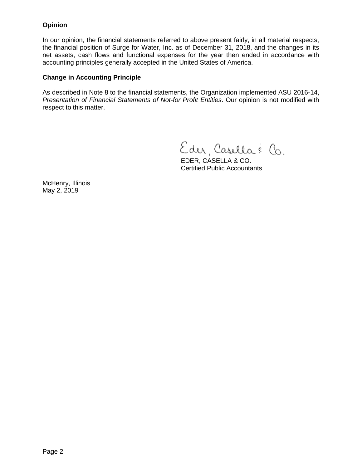## **Opinion**

In our opinion, the financial statements referred to above present fairly, in all material respects, the financial position of Surge for Water, Inc. as of December 31, 2018, and the changes in its net assets, cash flows and functional expenses for the year then ended in accordance with accounting principles generally accepted in the United States of America.

## **Change in Accounting Principle**

As described in Note 8 to the financial statements, the Organization implemented ASU 2016-14, *Presentation of Financial Statements of Not-for Profit Entities*. Our opinion is not modified with respect to this matter.

Eder, Casella & Co.

Certified Public Accountants

McHenry, Illinois May 2, 2019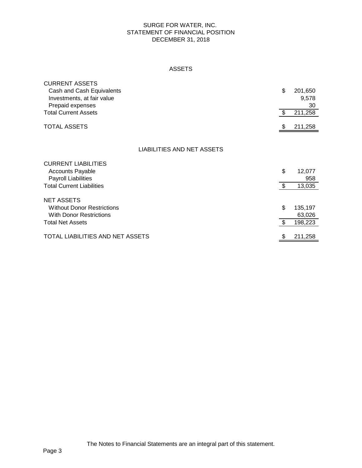#### SURGE FOR WATER, INC. STATEMENT OF FINANCIAL POSITION DECEMBER 31, 2018

#### ASSETS

| <b>CURRENT ASSETS</b><br>Cash and Cash Equivalents<br>Investments, at fair value<br>Prepaid expenses | \$  | 201,650<br>9,578<br>30 |
|------------------------------------------------------------------------------------------------------|-----|------------------------|
| <b>Total Current Assets</b>                                                                          | \$  | 211,258                |
| <b>TOTAL ASSETS</b>                                                                                  | \$  | 211,258                |
|                                                                                                      |     |                        |
| <b>LIABILITIES AND NET ASSETS</b>                                                                    |     |                        |
| <b>CURRENT LIABILITIES</b><br><b>Accounts Payable</b><br>Payroll Liabilities                         | \$  | 12,077<br>958          |
| <b>Total Current Liabilities</b>                                                                     | -\$ | 13,035                 |
| <b>NET ASSETS</b><br><b>Without Donor Restrictions</b>                                               | \$  | 135,197                |
| <b>With Donor Restrictions</b><br><b>Total Net Assets</b>                                            | \$  | 63,026<br>198,223      |
| TOTAL LIABILITIES AND NET ASSETS                                                                     |     | 211,258                |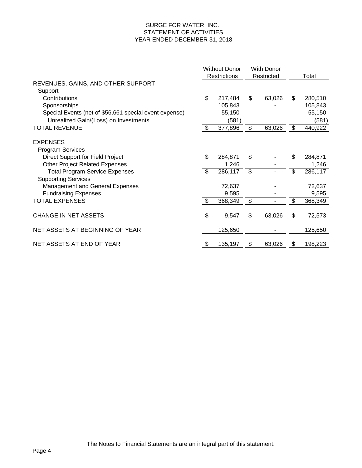#### SURGE FOR WATER, INC. STATEMENT OF ACTIVITIES YEAR ENDED DECEMBER 31, 2018

|                                                        |              | <b>Without Donor</b> |            | With Donor |    |         |  |
|--------------------------------------------------------|--------------|----------------------|------------|------------|----|---------|--|
|                                                        | Restrictions |                      | Restricted |            |    | Total   |  |
| REVENUES, GAINS, AND OTHER SUPPORT                     |              |                      |            |            |    |         |  |
| Support                                                |              |                      |            |            |    |         |  |
| Contributions                                          | \$           | 217,484              | \$         | 63,026     | \$ | 280,510 |  |
| Sponsorships                                           |              | 105,843              |            |            |    | 105,843 |  |
| Special Events (net of \$56,661 special event expense) |              | 55,150               |            |            |    | 55,150  |  |
| Unrealized Gain/(Loss) on Investments                  |              | (581)                |            |            |    | (581)   |  |
| <b>TOTAL REVENUE</b>                                   | \$           | 377,896              | \$         | 63,026     | \$ | 440,922 |  |
| <b>EXPENSES</b>                                        |              |                      |            |            |    |         |  |
| <b>Program Services</b>                                |              |                      |            |            |    |         |  |
| Direct Support for Field Project                       | \$           | 284,871              | \$         |            | \$ | 284,871 |  |
| <b>Other Project Related Expenses</b>                  |              | 1,246                |            |            |    | 1,246   |  |
| <b>Total Program Service Expenses</b>                  | \$           | 286,117              | \$         |            | \$ | 286,117 |  |
| <b>Supporting Services</b>                             |              |                      |            |            |    |         |  |
| Management and General Expenses                        |              | 72,637               |            |            |    | 72,637  |  |
| <b>Fundraising Expenses</b>                            |              | 9,595                |            |            |    | 9,595   |  |
| <b>TOTAL EXPENSES</b>                                  | \$           | 368,349              | \$         |            | \$ | 368,349 |  |
|                                                        |              |                      |            |            |    |         |  |
| CHANGE IN NET ASSETS                                   | \$           | 9,547                | \$         | 63,026     | \$ | 72,573  |  |
| NET ASSETS AT BEGINNING OF YEAR                        |              | 125,650              |            |            |    | 125,650 |  |
|                                                        |              |                      |            |            |    |         |  |
| NET ASSETS AT END OF YEAR                              | \$           | 135,197              | \$         | 63,026     | \$ | 198,223 |  |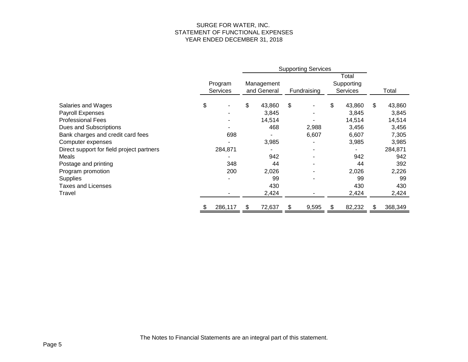#### SURGE FOR WATER, INC. STATEMENT OF FUNCTIONAL EXPENSES YEAR ENDED DECEMBER 31, 2018

|                                           | <b>Supporting Services</b> |                     |    |                           |    |             |                                 |    |         |
|-------------------------------------------|----------------------------|---------------------|----|---------------------------|----|-------------|---------------------------------|----|---------|
|                                           |                            | Program<br>Services |    | Management<br>and General |    | Fundraising | Total<br>Supporting<br>Services |    | Total   |
| Salaries and Wages                        | \$                         |                     | \$ | 43,860                    | \$ |             | \$<br>43,860                    | \$ | 43,860  |
| Payroll Expenses                          |                            |                     |    | 3,845                     |    |             | 3,845                           |    | 3,845   |
| <b>Professional Fees</b>                  |                            |                     |    | 14,514                    |    |             | 14,514                          |    | 14,514  |
| Dues and Subscriptions                    |                            |                     |    | 468                       |    | 2,988       | 3,456                           |    | 3,456   |
| Bank charges and credit card fees         |                            | 698                 |    |                           |    | 6,607       | 6,607                           |    | 7,305   |
| Computer expenses                         |                            |                     |    | 3,985                     |    |             | 3,985                           |    | 3,985   |
| Direct support for field project partners |                            | 284,871             |    |                           |    |             |                                 |    | 284,871 |
| Meals                                     |                            |                     |    | 942                       |    |             | 942                             |    | 942     |
| Postage and printing                      |                            | 348                 |    | 44                        |    |             | 44                              |    | 392     |
| Program promotion                         |                            | 200                 |    | 2,026                     |    |             | 2,026                           |    | 2,226   |
| Supplies                                  |                            |                     |    | 99                        |    |             | 99                              |    | 99      |
| Taxes and Licenses                        |                            |                     |    | 430                       |    |             | 430                             |    | 430     |
| Travel                                    |                            |                     |    | 2,424                     |    |             | 2,424                           |    | 2,424   |
|                                           |                            | 286,117             | \$ | 72,637                    |    | 9,595       | \$<br>82,232                    | S  | 368,349 |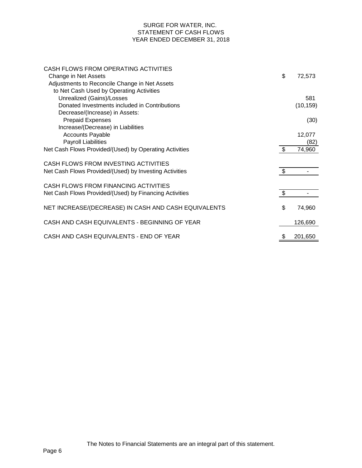#### SURGE FOR WATER, INC. STATEMENT OF CASH FLOWS YEAR ENDED DECEMBER 31, 2018

| CASH FLOWS FROM OPERATING ACTIVITIES                   |               |           |
|--------------------------------------------------------|---------------|-----------|
| Change in Net Assets                                   | \$            | 72,573    |
| Adjustments to Reconcile Change in Net Assets          |               |           |
| to Net Cash Used by Operating Activities               |               |           |
| Unrealized (Gains)/Losses                              |               | 581       |
| Donated Investments included in Contributions          |               | (10, 159) |
| Decrease/(Increase) in Assets:                         |               |           |
| <b>Prepaid Expenses</b>                                |               | (30)      |
| Increase/(Decrease) in Liabilities                     |               |           |
| <b>Accounts Payable</b>                                |               | 12,077    |
| Payroll Liabilities                                    |               | (82)      |
| Net Cash Flows Provided/(Used) by Operating Activities | $\sqrt[6]{3}$ | 74,960    |
| CASH FLOWS FROM INVESTING ACTIVITIES                   |               |           |
| Net Cash Flows Provided/(Used) by Investing Activities | \$            |           |
| CASH FLOWS FROM FINANCING ACTIVITIES                   |               |           |
| Net Cash Flows Provided/(Used) by Financing Activities | $\sqrt[6]{3}$ |           |
|                                                        | \$            | 74,960    |
| NET INCREASE/(DECREASE) IN CASH AND CASH EQUIVALENTS   |               |           |
| CASH AND CASH EQUIVALENTS - BEGINNING OF YEAR          |               | 126,690   |
| CASH AND CASH EQUIVALENTS - END OF YEAR                |               | 201,650   |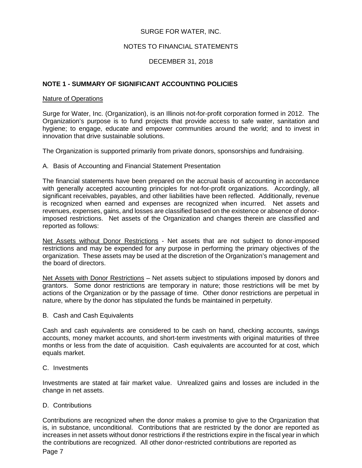## SURGE FOR WATER, INC.

### NOTES TO FINANCIAL STATEMENTS

#### DECEMBER 31, 2018

## **NOTE 1 - SUMMARY OF SIGNIFICANT ACCOUNTING POLICIES**

#### Nature of Operations

Surge for Water, Inc. (Organization), is an Illinois not-for-profit corporation formed in 2012. The Organization's purpose is to fund projects that provide access to safe water, sanitation and hygiene; to engage, educate and empower communities around the world; and to invest in innovation that drive sustainable solutions.

The Organization is supported primarily from private donors, sponsorships and fundraising.

A. Basis of Accounting and Financial Statement Presentation

The financial statements have been prepared on the accrual basis of accounting in accordance with generally accepted accounting principles for not-for-profit organizations. Accordingly, all significant receivables, payables, and other liabilities have been reflected. Additionally, revenue is recognized when earned and expenses are recognized when incurred. Net assets and revenues, expenses, gains, and losses are classified based on the existence or absence of donorimposed restrictions. Net assets of the Organization and changes therein are classified and reported as follows:

Net Assets without Donor Restrictions - Net assets that are not subject to donor-imposed restrictions and may be expended for any purpose in performing the primary objectives of the organization. These assets may be used at the discretion of the Organization's management and the board of directors.

Net Assets with Donor Restrictions - Net assets subject to stipulations imposed by donors and grantors. Some donor restrictions are temporary in nature; those restrictions will be met by actions of the Organization or by the passage of time. Other donor restrictions are perpetual in nature, where by the donor has stipulated the funds be maintained in perpetuity.

B. Cash and Cash Equivalents

Cash and cash equivalents are considered to be cash on hand, checking accounts, savings accounts, money market accounts, and short-term investments with original maturities of three months or less from the date of acquisition. Cash equivalents are accounted for at cost, which equals market.

C. Investments

Investments are stated at fair market value. Unrealized gains and losses are included in the change in net assets.

D. Contributions

Contributions are recognized when the donor makes a promise to give to the Organization that is, in substance, unconditional. Contributions that are restricted by the donor are reported as increases in net assets without donor restrictions if the restrictions expire in the fiscal year in which the contributions are recognized. All other donor-restricted contributions are reported as

Page 7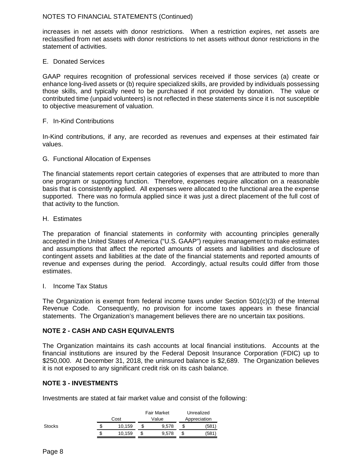## NOTES TO FINANCIAL STATEMENTS (Continued)

increases in net assets with donor restrictions. When a restriction expires, net assets are reclassified from net assets with donor restrictions to net assets without donor restrictions in the statement of activities.

E. Donated Services

GAAP requires recognition of professional services received if those services (a) create or enhance long-lived assets or (b) require specialized skills, are provided by individuals possessing those skills, and typically need to be purchased if not provided by donation. The value or contributed time (unpaid volunteers) is not reflected in these statements since it is not susceptible to objective measurement of valuation.

F. In-Kind Contributions

In-Kind contributions, if any, are recorded as revenues and expenses at their estimated fair values.

G. Functional Allocation of Expenses

The financial statements report certain categories of expenses that are attributed to more than one program or supporting function. Therefore, expenses require allocation on a reasonable basis that is consistently applied. All expenses were allocated to the functional area the expense supported. There was no formula applied since it was just a direct placement of the full cost of that activity to the function.

H. Estimates

The preparation of financial statements in conformity with accounting principles generally accepted in the United States of America ("U.S. GAAP") requires management to make estimates and assumptions that affect the reported amounts of assets and liabilities and disclosure of contingent assets and liabilities at the date of the financial statements and reported amounts of revenue and expenses during the period. Accordingly, actual results could differ from those estimates.

I. Income Tax Status

The Organization is exempt from federal income taxes under Section  $501(c)(3)$  of the Internal Revenue Code. Consequently, no provision for income taxes appears in these financial statements. The Organization's management believes there are no uncertain tax positions.

## **NOTE 2 - CASH AND CASH EQUIVALENTS**

The Organization maintains its cash accounts at local financial institutions. Accounts at the financial institutions are insured by the Federal Deposit Insurance Corporation (FDIC) up to \$250,000. At December 31, 2018, the uninsured balance is \$2,689. The Organization believes it is not exposed to any significant credit risk on its cash balance.

## **NOTE 3 - INVESTMENTS**

Investments are stated at fair market value and consist of the following:

|               |    |        | <b>Fair Market</b> |       | Unrealized   |
|---------------|----|--------|--------------------|-------|--------------|
|               |    | Cost   | Value              |       | Appreciation |
| <b>Stocks</b> | \$ | 10.159 |                    | 9.578 | (581         |
|               | S  | 10.159 |                    | 9.578 | (581         |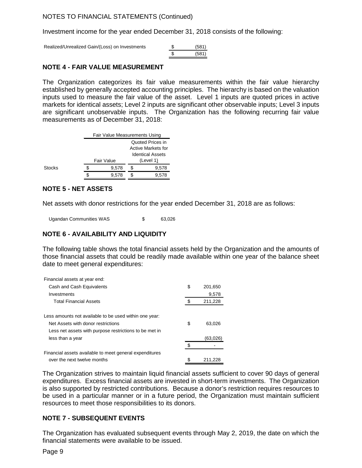### NOTES TO FINANCIAL STATEMENTS (Continued)

Investment income for the year ended December 31, 2018 consists of the following:

| Realized/Unrealized Gain/(Loss) on Investments | (581) |
|------------------------------------------------|-------|
|                                                | (581) |

#### **NOTE 4 - FAIR VALUE MEASUREMENT**

The Organization categorizes its fair value measurements within the fair value hierarchy established by generally accepted accounting principles. The hierarchy is based on the valuation inputs used to measure the fair value of the asset. Level 1 inputs are quoted prices in active markets for identical assets; Level 2 inputs are significant other observable inputs; Level 3 inputs are significant unobservable inputs. The Organization has the following recurring fair value measurements as of December 31, 2018:

|        | Fair Value Measurements Using |  |                                                                   |  |  |
|--------|-------------------------------|--|-------------------------------------------------------------------|--|--|
|        |                               |  | Quoted Prices in<br>Active Markets for<br><b>Identical Assets</b> |  |  |
|        | <b>Fair Value</b>             |  | (Level 1)                                                         |  |  |
| Stocks | 9,578                         |  | 9,578                                                             |  |  |
|        | 9.578                         |  | 9.578                                                             |  |  |
|        |                               |  |                                                                   |  |  |

## **NOTE 5 - NET ASSETS**

Net assets with donor restrictions for the year ended December 31, 2018 are as follows:

Ugandan Communities WAS  $$ 63,026$ 

#### **NOTE 6 - AVAILABILITY AND LIQUIDITY**

The following table shows the total financial assets held by the Organization and the amounts of those financial assets that could be readily made available within one year of the balance sheet date to meet general expenditures:

| Financial assets at year end:                           |               |
|---------------------------------------------------------|---------------|
| Cash and Cash Equivalents                               | \$<br>201.650 |
| Investments                                             | 9,578         |
| <b>Total Financial Assets</b>                           | 211,228       |
|                                                         |               |
| Less amounts not available to be used within one year:  |               |
| Net Assets with donor restrictions                      | \$<br>63.026  |
| Less net assets with purpose restrictions to be met in  |               |
| less than a year                                        | (63,026)      |
|                                                         |               |
| Financial assets available to meet general expenditures |               |
| over the next twelve months                             | \$<br>211.228 |

The Organization strives to maintain liquid financial assets sufficient to cover 90 days of general expenditures. Excess financial assets are invested in short-term investments. The Organization is also supported by restricted contributions. Because a donor's restriction requires resources to be used in a particular manner or in a future period, the Organization must maintain sufficient resources to meet those responsibilities to its donors.

## **NOTE 7 - SUBSEQUENT EVENTS**

The Organization has evaluated subsequent events through May 2, 2019, the date on which the financial statements were available to be issued.